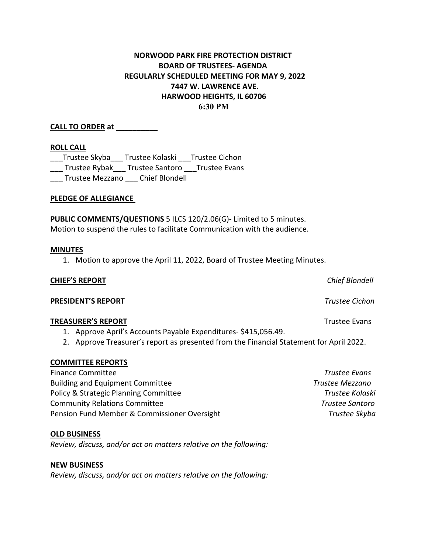# **NORWOOD PARK FIRE PROTECTION DISTRICT BOARD OF TRUSTEES- AGENDA REGULARLY SCHEDULED MEETING FOR MAY 9, 2022 7447 W. LAWRENCE AVE. HARWOOD HEIGHTS, IL 60706 6:30 PM**

### **CALL TO ORDER at** \_\_\_\_\_\_\_\_\_\_

#### **ROLL CALL**

\_\_\_Trustee Skyba\_\_\_ Trustee Kolaski \_\_\_Trustee Cichon \_\_\_ Trustee Rybak\_\_\_ Trustee Santoro \_\_\_Trustee Evans \_\_\_ Trustee Mezzano \_\_\_ Chief Blondell

#### **PLEDGE OF ALLEGIANCE**

**PUBLIC COMMENTS/QUESTIONS** 5 ILCS 120/2.06(G)- Limited to 5 minutes. Motion to suspend the rules to facilitate Communication with the audience.

#### **MINUTES**

1. Motion to approve the April 11, 2022, Board of Trustee Meeting Minutes.

#### **CHIEF'S REPORT** *Chief Blondell*

**PRESIDENT'S REPORT** *Trustee Cichon*

#### **TREASURER'S REPORT** TREASURER'S **REPORT**

- 1. Approve April's Accounts Payable Expenditures- \$415,056.49.
- 2. Approve Treasurer's report as presented from the Financial Statement for April 2022.

#### **COMMITTEE REPORTS**

| <b>Finance Committee</b>                     | Trustee Evans          |
|----------------------------------------------|------------------------|
| <b>Building and Equipment Committee</b>      | Trustee Mezzano        |
| Policy & Strategic Planning Committee        | Trustee Kolaski        |
| <b>Community Relations Committee</b>         | <b>Trustee Santoro</b> |
| Pension Fund Member & Commissioner Oversight | Trustee Skyba          |

#### **OLD BUSINESS**

*Review, discuss, and/or act on matters relative on the following:*

#### **NEW BUSINESS**

*Review, discuss, and/or act on matters relative on the following:*